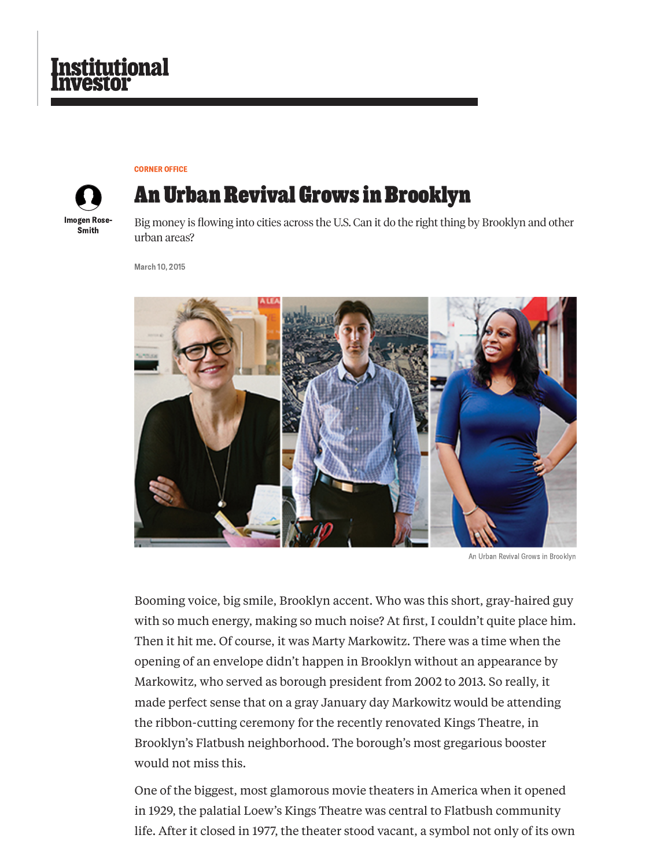

[CORNER](https://www.institutionalinvestor.com/Corner-Office) OFFICE



# **An Urban Revival Grows in Brooklyn**

Big money is flowing into cities across the U.S. Can it do the right thing by Brooklyn and other urban areas?

March 10, 2015



An Urban Revival Grows in Brooklyn

Booming voice, big smile, Brooklyn accent. Who was this short, gray-haired guy with so much energy, making so much noise? At first, I couldn't quite place him. Then it hit me. Of course, it was Marty Markowitz. There was a time when the opening of an envelope didn't happen in Brooklyn without an appearance by Markowitz, who served as borough president from 2002 to 2013. So really, it made perfect sense that on a gray January day Markowitz would be attending the ribbon-cutting ceremony for the recently renovated Kings Theatre, in Brooklyn's Flatbush neighborhood. The borough's most gregarious booster would not miss this.

One of the biggest, most glamorous movie theaters in America when it opened in 1929, the palatial Loew's Kings Theatre was central to Flatbush community life. After it closed in 1977, the theater stood vacant, a symbol not only of its own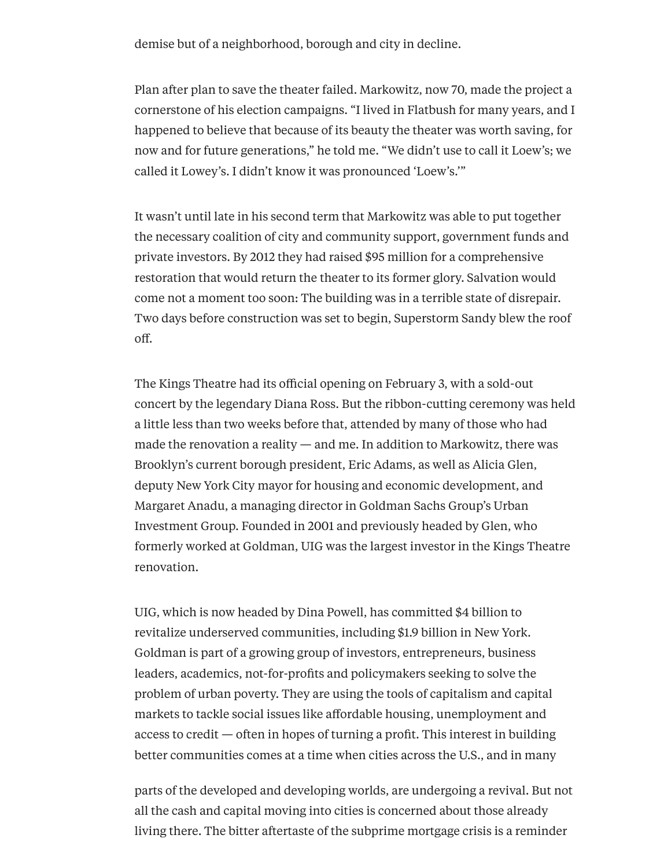demise but of a neighborhood, borough and city in decline.

Plan after plan to save the theater failed. Markowitz, now 70, made the project a cornerstone of his election campaigns. "I lived in Flatbush for many years, and I happened to believe that because of its beauty the theater was worth saving, for now and for future generations," he told me. "We didn't use to call it Loew's; we called it Lowey's. I didn't know it was pronounced 'Loew's.'"

It wasn't until late in his second term that Markowitz was able to put together the necessary coalition of city and community support, government funds and private investors. By 2012 they had raised \$95 million for a comprehensive restoration that would return the theater to its former glory. Salvation would come not a moment too soon: The building was in a terrible state of disrepair. Two days before construction was set to begin, Superstorm Sandy blew the roof off.

The Kings Theatre had its official opening on February 3, with a sold-out concert by the legendary Diana Ross. But the ribbon-cutting ceremony was held a little less than two weeks before that, attended by many of those who had made the renovation a reality — and me. In addition to Markowitz, there was Brooklyn's current borough president, Eric Adams, as well as Alicia Glen, deputy New York City mayor for housing and economic development, and Margaret Anadu, a managing director in Goldman Sachs Group's Urban Investment Group. Founded in 2001 and previously headed by Glen, who formerly worked at Goldman, UIG was the largest investor in the Kings Theatre renovation.

UIG, which is now headed by Dina Powell, has committed \$4 billion to revitalize underserved communities, including \$1.9 billion in New York. Goldman is part of a growing group of investors, entrepreneurs, business leaders, academics, not-for-profits and policymakers seeking to solve the problem of urban poverty. They are using the tools of capitalism and capital markets to tackle social issues like affordable housing, unemployment and access to credit — often in hopes of turning a profit. This interest in building better communities comes at a time when cities across the U.S., and in many

parts of the developed and developing worlds, are undergoing a revival. But not all the cash and capital moving into cities is concerned about those already living there. The bitter aftertaste of the subprime mortgage crisis is a reminder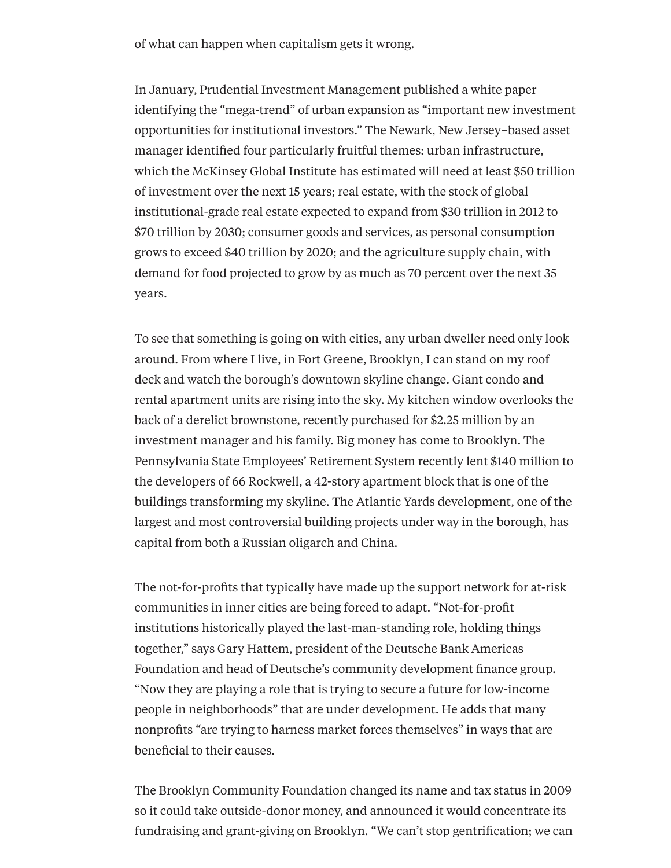of what can happen when capitalism gets it wrong.

In January, Prudential Investment Management published a white paper identifying the "mega-trend" of urban expansion as "important new investment opportunities for institutional investors." The Newark, New Jersey–based asset manager identified four particularly fruitful themes: urban infrastructure, which the McKinsey Global Institute has estimated will need at least \$50 trillion of investment over the next 15 years; real estate, with the stock of global institutional-grade real estate expected to expand from \$30 trillion in 2012 to \$70 trillion by 2030; consumer goods and services, as personal consumption grows to exceed \$40 trillion by 2020; and the agriculture supply chain, with demand for food projected to grow by as much as 70 percent over the next 35 years.

To see that something is going on with cities, any urban dweller need only look around. From where I live, in Fort Greene, Brooklyn, I can stand on my roof deck and watch the borough's downtown skyline change. Giant condo and rental apartment units are rising into the sky. My kitchen window overlooks the back of a derelict brownstone, recently purchased for \$2.25 million by an investment manager and his family. Big money has come to Brooklyn. The Pennsylvania State Employees' Retirement System recently lent \$140 million to the developers of 66 Rockwell, a 42-story apartment block that is one of the buildings transforming my skyline. The Atlantic Yards development, one of the largest and most controversial building projects under way in the borough, has capital from both a Russian oligarch and China.

The not-for-profits that typically have made up the support network for at-risk communities in inner cities are being forced to adapt. "Not-for-profit institutions historically played the last-man-standing role, holding things together," says Gary Hattem, president of the Deutsche Bank Americas Foundation and head of Deutsche's community development finance group. "Now they are playing a role that is trying to secure a future for low-income people in neighborhoods" that are under development. He adds that many nonprofits "are trying to harness market forces themselves" in ways that are beneficial to their causes.

The Brooklyn Community Foundation changed its name and tax status in 2009 so it could take outside-donor money, and announced it would concentrate its fundraising and grant-giving on Brooklyn. "We can't stop gentrification; we can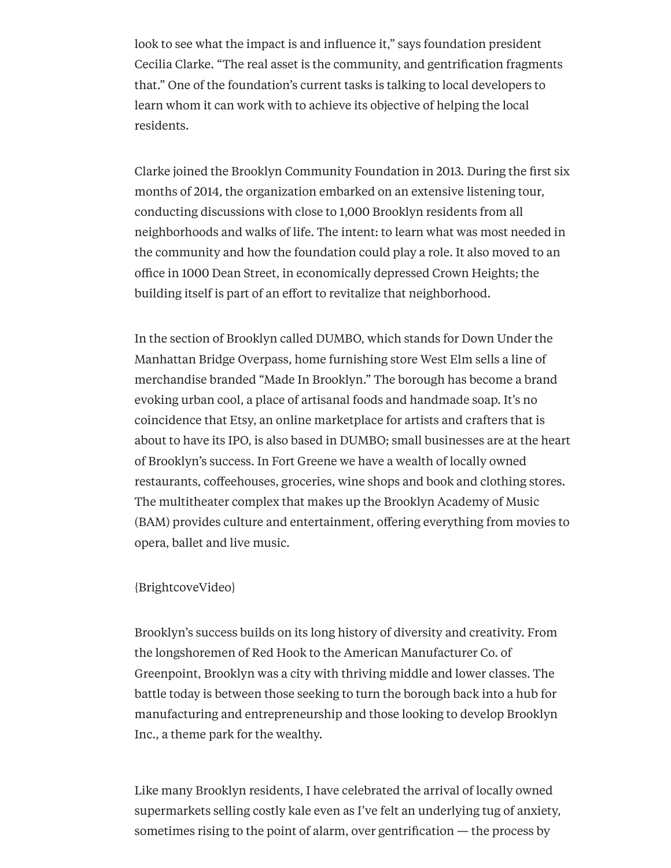look to see what the impact is and influence it," says foundation president Cecilia Clarke. "The real asset is the community, and gentrification fragments that." One of the foundation's current tasks is talking to local developers to learn whom it can work with to achieve its objective of helping the local residents.

Clarke joined the Brooklyn Community Foundation in 2013. During the first six months of 2014, the organization embarked on an extensive listening tour, conducting discussions with close to 1,000 Brooklyn residents from all neighborhoods and walks of life. The intent: to learn what was most needed in the community and how the foundation could play a role. It also moved to an office in 1000 Dean Street, in economically depressed Crown Heights; the building itself is part of an effort to revitalize that neighborhood.

In the section of Brooklyn called DUMBO, which stands for Down Under the Manhattan Bridge Overpass, home furnishing store West Elm sells a line of merchandise branded "Made In Brooklyn." The borough has become a brand evoking urban cool, a place of artisanal foods and handmade soap. It's no coincidence that Etsy, an online marketplace for artists and crafters that is about to have its IPO, is also based in DUMBO; small businesses are at the heart of Brooklyn's success. In Fort Greene we have a wealth of locally owned restaurants, coffeehouses, groceries, wine shops and book and clothing stores. The multitheater complex that makes up the Brooklyn Academy of Music (BAM) provides culture and entertainment, offering everything from movies to opera, ballet and live music.

## {BrightcoveVideo}

Brooklyn's success builds on its long history of diversity and creativity. From the longshoremen of Red Hook to the American Manufacturer Co. of Greenpoint, Brooklyn was a city with thriving middle and lower classes. The battle today is between those seeking to turn the borough back into a hub for manufacturing and entrepreneurship and those looking to develop Brooklyn Inc., a theme park for the wealthy.

Like many Brooklyn residents, I have celebrated the arrival of locally owned supermarkets selling costly kale even as I've felt an underlying tug of anxiety, sometimes rising to the point of alarm, over gentrification — the process by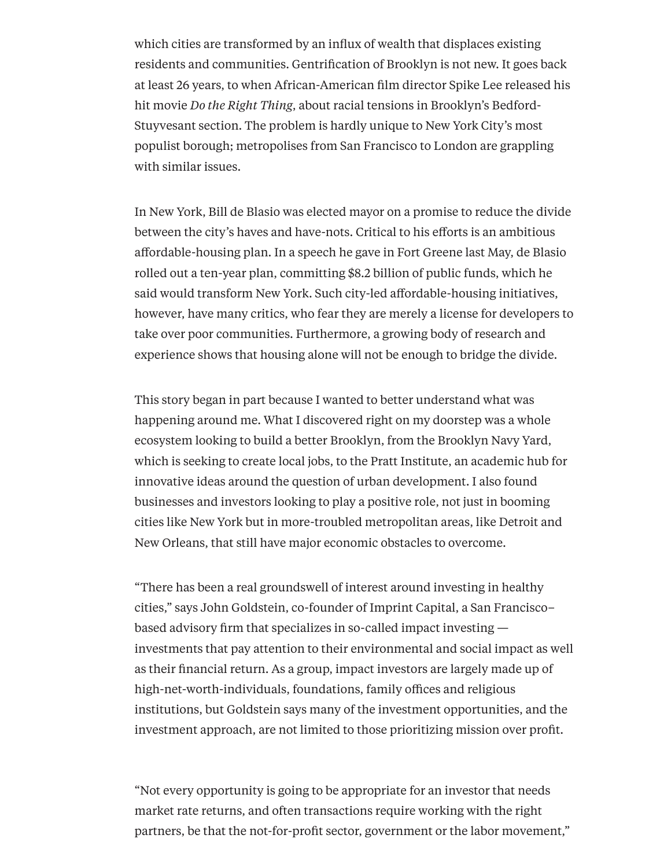which cities are transformed by an influx of wealth that displaces existing residents and communities. Gentrification of Brooklyn is not new. It goes back at least 26 years, to when African-American film director Spike Lee released his hit movie *Do the Right Thing*, about racial tensions in Brooklyn's Bedford-Stuyvesant section. The problem is hardly unique to New York City's most populist borough; metropolises from San Francisco to London are grappling with similar issues.

In New York, Bill de Blasio was elected mayor on a promise to reduce the divide between the city's haves and have-nots. Critical to his efforts is an ambitious affordable-housing plan. In a speech he gave in Fort Greene last May, de Blasio rolled out a ten-year plan, committing \$8.2 billion of public funds, which he said would transform New York. Such city-led affordable-housing initiatives, however, have many critics, who fear they are merely a license for developers to take over poor communities. Furthermore, a growing body of research and experience shows that housing alone will not be enough to bridge the divide.

This story began in part because I wanted to better understand what was happening around me. What I discovered right on my doorstep was a whole ecosystem looking to build a better Brooklyn, from the Brooklyn Navy Yard, which is seeking to create local jobs, to the Pratt Institute, an academic hub for innovative ideas around the question of urban development. I also found businesses and investors looking to play a positive role, not just in booming cities like New York but in more-troubled metropolitan areas, like Detroit and New Orleans, that still have major economic obstacles to overcome.

"There has been a real groundswell of interest around investing in healthy cities," says John Goldstein, co-founder of Imprint Capital, a San Francisco– based advisory firm that specializes in so-called impact investing investments that pay attention to their environmental and social impact as well as their financial return. As a group, impact investors are largely made up of high-net-worth-individuals, foundations, family offices and religious institutions, but Goldstein says many of the investment opportunities, and the investment approach, are not limited to those prioritizing mission over profit.

"Not every opportunity is going to be appropriate for an investor that needs market rate returns, and often transactions require working with the right partners, be that the not-for-profit sector, government or the labor movement,"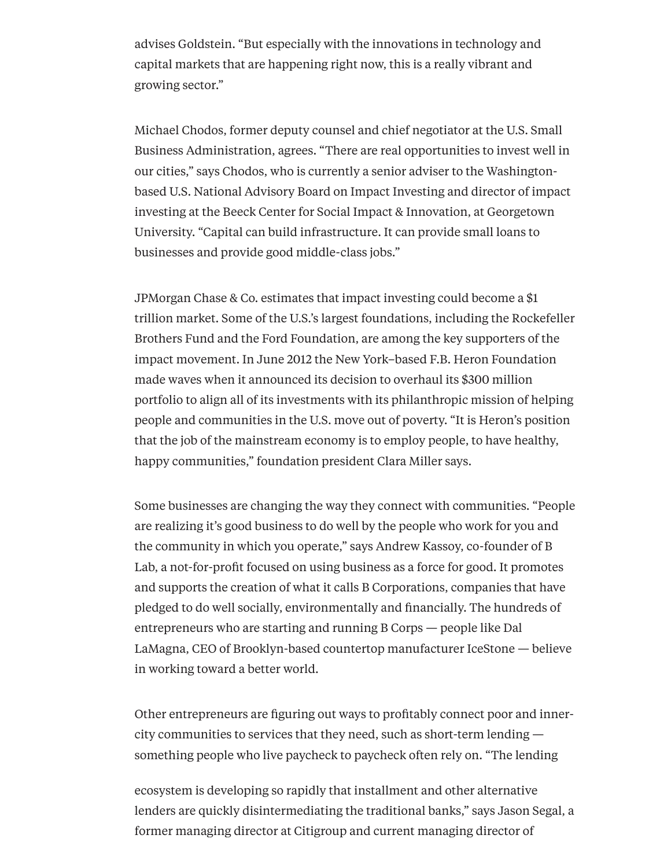advises Goldstein. "But especially with the innovations in technology and capital markets that are happening right now, this is a really vibrant and growing sector."

Michael Chodos, former deputy counsel and chief negotiator at the U.S. Small Business Administration, agrees. "There are real opportunities to invest well in our cities," says Chodos, who is currently a senior adviser to the Washingtonbased U.S. National Advisory Board on Impact Investing and director of impact investing at the Beeck Center for Social Impact & Innovation, at Georgetown University. "Capital can build infrastructure. It can provide small loans to businesses and provide good middle-class jobs."

JPMorgan Chase & Co. estimates that impact investing could become a \$1 trillion market. Some of the U.S.'s largest foundations, including the Rockefeller Brothers Fund and the Ford Foundation, are among the key supporters of the impact movement. In June 2012 the New York–based F.B. Heron Foundation made waves when it announced its decision to overhaul its \$300 million portfolio to align all of its investments with its philanthropic mission of helping people and communities in the U.S. move out of poverty. "It is Heron's position that the job of the mainstream economy is to employ people, to have healthy, happy communities," foundation president Clara Miller says.

Some businesses are changing the way they connect with communities. "People are realizing it's good business to do well by the people who work for you and the community in which you operate," says Andrew Kassoy, co-founder of B Lab, a not-for-profit focused on using business as a force for good. It promotes and supports the creation of what it calls B Corporations, companies that have pledged to do well socially, environmentally and financially. The hundreds of entrepreneurs who are starting and running B Corps — people like Dal LaMagna, CEO of Brooklyn-based countertop manufacturer IceStone — believe in working toward a better world.

Other entrepreneurs are figuring out ways to profitably connect poor and innercity communities to services that they need, such as short-term lending something people who live paycheck to paycheck often rely on. "The lending

ecosystem is developing so rapidly that installment and other alternative lenders are quickly disintermediating the traditional banks," says Jason Segal, a former managing director at Citigroup and current managing director of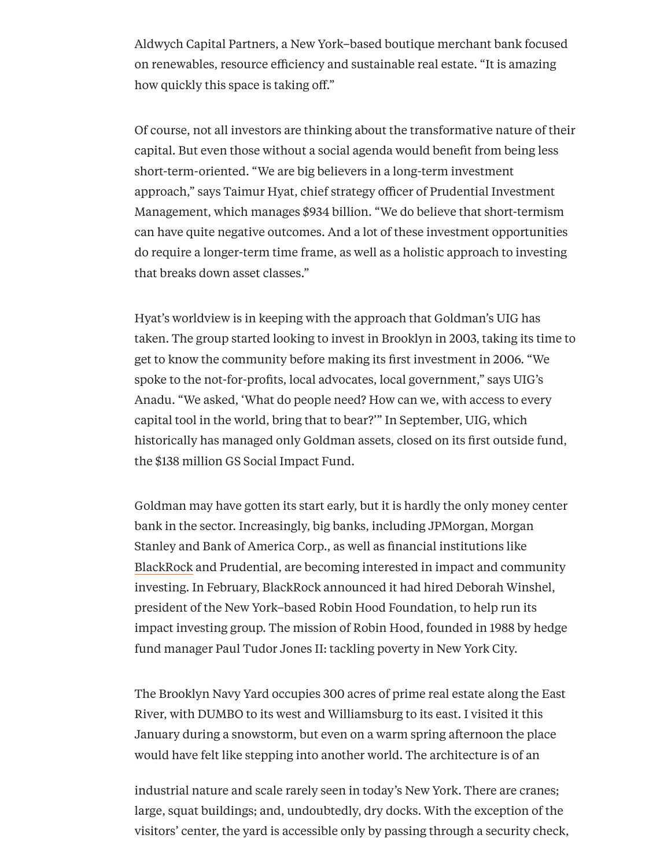Aldwych Capital Partners, a New York–based boutique merchant bank focused on renewables, resource efficiency and sustainable real estate. "It is amazing how quickly this space is taking off."

Of course, not all investors are thinking about the transformative nature of their capital. But even those without a social agenda would benefit from being less short-term-oriented. "We are big believers in a long-term investment approach," says Taimur Hyat, chief strategy officer of Prudential Investment Management, which manages \$934 billion. "We do believe that short-termism can have quite negative outcomes. And a lot of these investment opportunities do require a longer-term time frame, as well as a holistic approach to investing that breaks down asset classes."

Hyat's worldview is in keeping with the approach that Goldman's UIG has taken. The group started looking to invest in Brooklyn in 2003, taking its time to get to know the community before making its first investment in 2006. "We spoke to the not-for-profits, local advocates, local government," says UIG's Anadu. "We asked, 'What do people need? How can we, with access to every capital tool in the world, bring that to bear?'" In September, UIG, which historically has managed only Goldman assets, closed on its first outside fund, the \$138 million GS Social Impact Fund.

Goldman may have gotten its start early, but it is hardly the only money center bank in the sector. Increasingly, big banks, including JPMorgan, Morgan Stanley and Bank of America Corp., as well as financial institutions like [BlackRock](http://www.institutionalinvestor.com/BlackRock.html) and Prudential, are becoming interested in impact and community investing. In February, BlackRock announced it had hired Deborah Winshel, president of the New York–based Robin Hood Foundation, to help run its impact investing group. The mission of Robin Hood, founded in 1988 by hedge fund manager Paul Tudor Jones II: tackling poverty in New York City.

The Brooklyn Navy Yard occupies 300 acres of prime real estate along the East River, with DUMBO to its west and Williamsburg to its east. I visited it this January during a snowstorm, but even on a warm spring afternoon the place would have felt like stepping into another world. The architecture is of an

industrial nature and scale rarely seen in today's New York. There are cranes; large, squat buildings; and, undoubtedly, dry docks. With the exception of the visitors' center, the yard is accessible only by passing through a security check,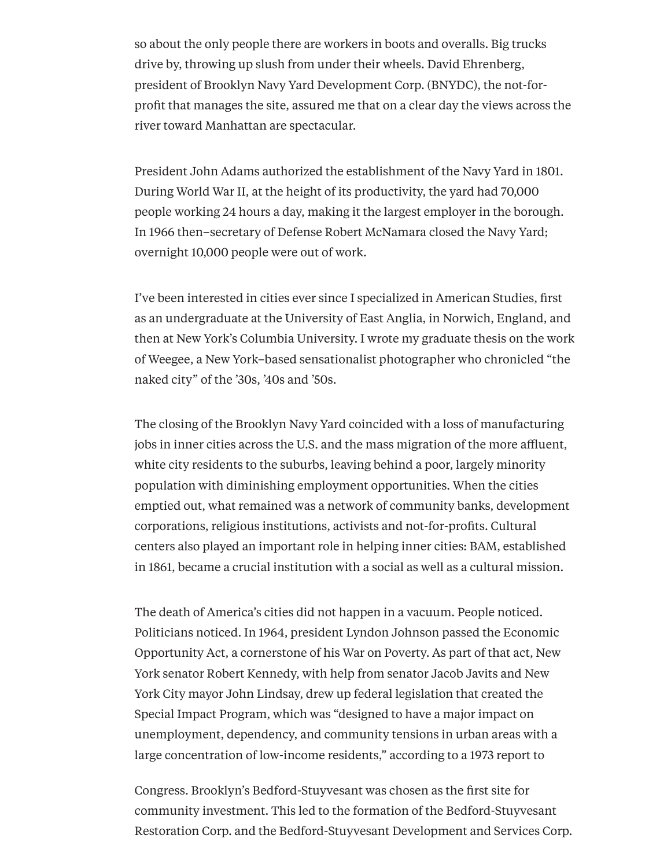so about the only people there are workers in boots and overalls. Big trucks drive by, throwing up slush from under their wheels. David Ehrenberg, president of Brooklyn Navy Yard Development Corp. (BNYDC), the not-forprofit that manages the site, assured me that on a clear day the views across the river toward Manhattan are spectacular.

President John Adams authorized the establishment of the Navy Yard in 1801. During World War II, at the height of its productivity, the yard had 70,000 people working 24 hours a day, making it the largest employer in the borough. In 1966 then–secretary of Defense Robert McNamara closed the Navy Yard; overnight 10,000 people were out of work.

I've been interested in cities ever since I specialized in American Studies, first as an undergraduate at the University of East Anglia, in Norwich, England, and then at New York's Columbia University. I wrote my graduate thesis on the work of Weegee, a New York–based sensationalist photographer who chronicled "the naked city" of the '30s, '40s and '50s.

The closing of the Brooklyn Navy Yard coincided with a loss of manufacturing jobs in inner cities across the U.S. and the mass migration of the more affluent, white city residents to the suburbs, leaving behind a poor, largely minority population with diminishing employment opportunities. When the cities emptied out, what remained was a network of community banks, development corporations, religious institutions, activists and not-for-profits. Cultural centers also played an important role in helping inner cities: BAM, established in 1861, became a crucial institution with a social as well as a cultural mission.

The death of America's cities did not happen in a vacuum. People noticed. Politicians noticed. In 1964, president Lyndon Johnson passed the Economic Opportunity Act, a cornerstone of his War on Poverty. As part of that act, New York senator Robert Kennedy, with help from senator Jacob Javits and New York City mayor John Lindsay, drew up federal legislation that created the Special Impact Program, which was "designed to have a major impact on unemployment, dependency, and community tensions in urban areas with a large concentration of low-income residents," according to a 1973 report to

Congress. Brooklyn's Bedford-Stuyvesant was chosen as the first site for community investment. This led to the formation of the Bedford-Stuyvesant Restoration Corp. and the Bedford-Stuyvesant Development and Services Corp.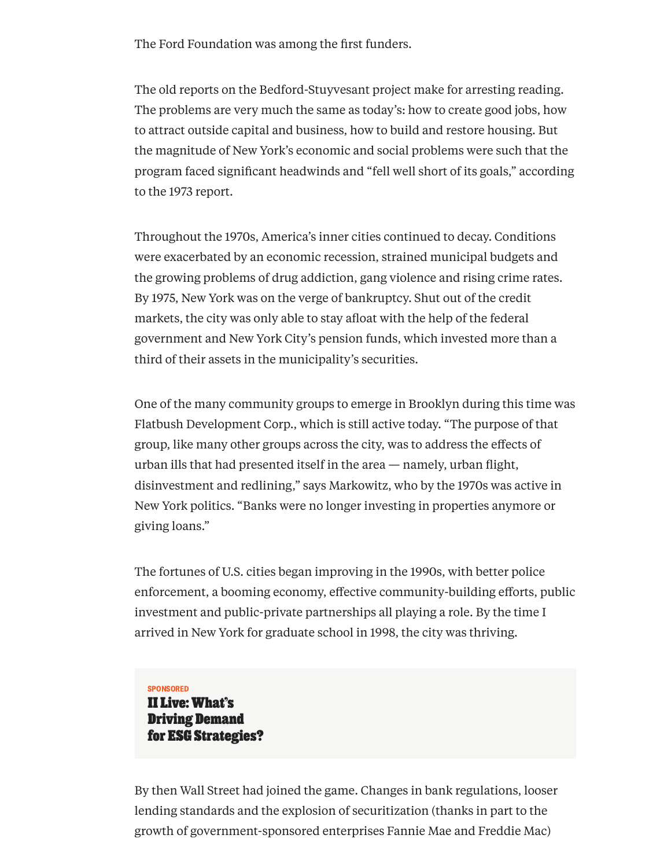The Ford Foundation was among the first funders.

The old reports on the Bedford-Stuyvesant project make for arresting reading. The problems are very much the same as today's: how to create good jobs, how to attract outside capital and business, how to build and restore housing. But the magnitude of New York's economic and social problems were such that the program faced significant headwinds and "fell well short of its goals," according to the 1973 report.

Throughout the 1970s, America's inner cities continued to decay. Conditions were exacerbated by an economic recession, strained municipal budgets and the growing problems of drug addiction, gang violence and rising crime rates. By 1975, New York was on the verge of bankruptcy. Shut out of the credit markets, the city was only able to stay afloat with the help of the federal government and New York City's pension funds, which invested more than a third of their assets in the municipality's securities.

One of the many community groups to emerge in Brooklyn during this time was Flatbush Development Corp., which is still active today. "The purpose of that group, like many other groups across the city, was to address the effects of urban ills that had presented itself in the area — namely, urban flight, disinvestment and redlining," says Markowitz, who by the 1970s was active in New York politics. "Banks were no longer investing in properties anymore or giving loans."

The fortunes of U.S. cities began improving in the 1990s, with better police enforcement, a booming economy, effective community-building efforts, public investment and public-private partnerships all playing a role. By the time I arrived in New York for graduate school in 1998, the city was thriving.

## SPONSORED

II Live: What's Driving Demand for ESG [Strategies?](https://www.institutionalinvestor.com/article/b1h69fdmj91h6x/ii-live-whats-driving-demand-for-esg-strategies)

By then Wall Street had joined the game. Changes in bank regulations, looser lending standards and the explosion of securitization (thanks in part to the growth of government-sponsored enterprises Fannie Mae and [Freddie](http://www.institutionalinvestor.com/article/3426278/asset-management-regulation/fannie-mae-and-freddie-mac-wind-down-or-reprieve.html) Mac)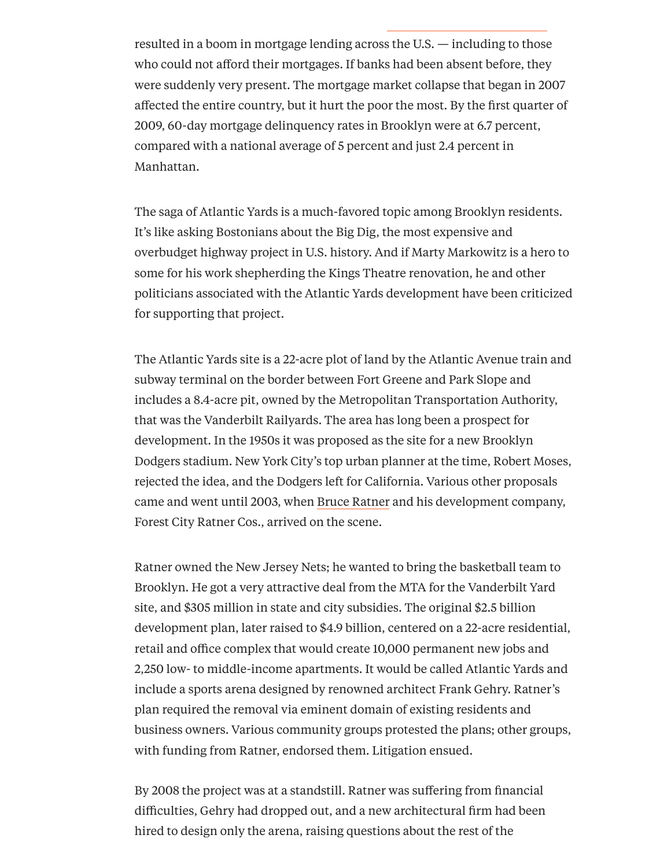resulted in a boom in mortgage lending across the U.S. — including to those who could not afford their mortgages. If banks had been absent before, they were suddenly very present. The mortgage market collapse that began in 2007 affected the entire country, but it hurt the poor the most. By the first quarter of 2009, 60-day mortgage delinquency rates in Brooklyn were at 6.7 percent, compared with a national average of 5 percent and just 2.4 percent in Manhattan.

The saga of Atlantic Yards is a much-favored topic among Brooklyn residents. It's like asking Bostonians about the Big Dig, the most expensive and overbudget highway project in U.S. history. And if Marty Markowitz is a hero to some for his work shepherding the Kings Theatre renovation, he and other politicians associated with the Atlantic Yards development have been criticized for supporting that project.

The Atlantic Yards site is a 22-acre plot of land by the Atlantic Avenue train and subway terminal on the border between Fort Greene and Park Slope and includes a 8.4-acre pit, owned by the Metropolitan Transportation Authority, that was the Vanderbilt Railyards. The area has long been a prospect for development. In the 1950s it was proposed as the site for a new Brooklyn Dodgers stadium. New York City's top urban planner at the time, Robert Moses, rejected the idea, and the Dodgers left for California. Various other proposals came and went until 2003, when Bruce [Ratner](http://www.institutionalinvestor.com/article/2390848/banking-and-capital-markets-banking/bruce-ratner-nails-nets-stadium-financing-at-the-buzzer.html) and his development company, Forest City Ratner Cos., arrived on the scene.

Ratner owned the New Jersey Nets; he wanted to bring the basketball team to Brooklyn. He got a very attractive deal from the MTA for the Vanderbilt Yard site, and \$305 million in state and city subsidies. The original \$2.5 billion development plan, later raised to \$4.9 billion, centered on a 22-acre residential, retail and office complex that would create 10,000 permanent new jobs and 2,250 low- to middle-income apartments. It would be called Atlantic Yards and include a sports arena designed by renowned architect Frank Gehry. Ratner's plan required the removal via eminent domain of existing residents and business owners. Various community groups protested the plans; other groups, with funding from Ratner, endorsed them. Litigation ensued.

By 2008 the project was at a standstill. Ratner was suffering from financial difficulties, Gehry had dropped out, and a new architectural firm had been hired to design only the arena, raising questions about the rest of the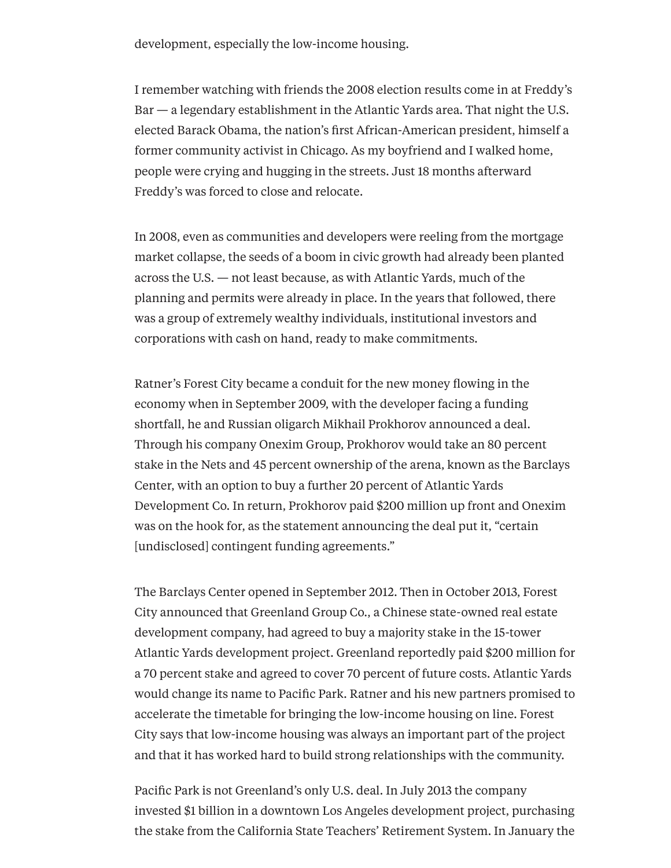development, especially the low-income housing.

I remember watching with friends the 2008 election results come in at Freddy's Bar — a legendary establishment in the Atlantic Yards area. That night the U.S. elected Barack Obama, the nation's first African-American president, himself a former community activist in Chicago. As my boyfriend and I walked home, people were crying and hugging in the streets. Just 18 months afterward Freddy's was forced to close and relocate.

In 2008, even as communities and developers were reeling from the mortgage market collapse, the seeds of a boom in civic growth had already been planted across the U.S. — not least because, as with Atlantic Yards, much of the planning and permits were already in place. In the years that followed, there was a group of extremely wealthy individuals, institutional investors and corporations with cash on hand, ready to make commitments.

Ratner's Forest City became a conduit for the new money flowing in the economy when in September 2009, with the developer facing a funding shortfall, he and Russian oligarch Mikhail Prokhorov announced a deal. Through his company Onexim Group, Prokhorov would take an 80 percent stake in the Nets and 45 percent ownership of the arena, known as the Barclays Center, with an option to buy a further 20 percent of Atlantic Yards Development Co. In return, Prokhorov paid \$200 million up front and Onexim was on the hook for, as the statement announcing the deal put it, "certain [undisclosed] contingent funding agreements."

The Barclays Center opened in September 2012. Then in October 2013, Forest City announced that Greenland Group Co., a Chinese state-owned real estate development company, had agreed to buy a majority stake in the 15-tower Atlantic Yards development project. Greenland reportedly paid \$200 million for a 70 percent stake and agreed to cover 70 percent of future costs. Atlantic Yards would change its name to Pacific Park. Ratner and his new partners promised to accelerate the timetable for bringing the low-income housing on line. Forest City says that low-income housing was always an important part of the project and that it has worked hard to build strong relationships with the community.

Pacific Park is not Greenland's only U.S. deal. In July 2013 the company invested \$1 billion in a downtown Los Angeles development project, purchasing the stake from the California State Teachers' Retirement System. In January the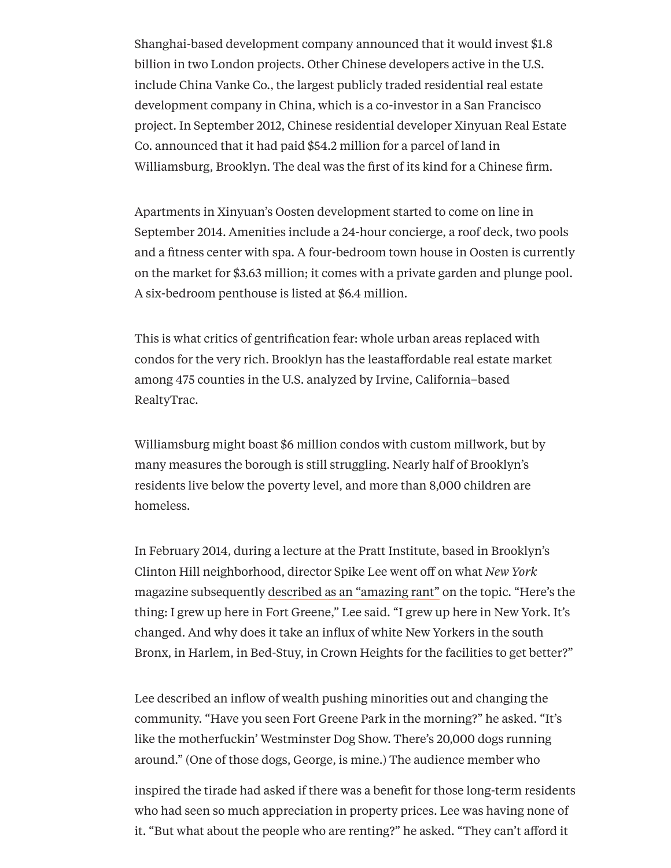Shanghai-based development company announced that it would invest \$1.8 billion in two London projects. Other Chinese developers active in the U.S. include China Vanke Co., the largest publicly traded residential real estate development company in China, which is a co-investor in a San Francisco project. In September 2012, Chinese residential developer Xinyuan Real Estate Co. announced that it had paid \$54.2 million for a parcel of land in Williamsburg, Brooklyn. The deal was the first of its kind for a Chinese firm.

Apartments in Xinyuan's Oosten development started to come on line in September 2014. Amenities include a 24-hour concierge, a roof deck, two pools and a fitness center with spa. A four-bedroom town house in Oosten is currently on the market for \$3.63 million; it comes with a private garden and plunge pool. A six-bedroom penthouse is listed at \$6.4 million.

This is what critics of gentrification fear: whole urban areas replaced with condos for the very rich. Brooklyn has the leastaffordable real estate market among 475 counties in the U.S. analyzed by Irvine, California–based RealtyTrac.

Williamsburg might boast \$6 million condos with custom millwork, but by many measures the borough is still struggling. Nearly half of Brooklyn's residents live below the poverty level, and more than 8,000 children are homeless.

In February 2014, during a lecture at the Pratt Institute, based in Brooklyn's Clinton Hill neighborhood, director Spike Lee went off on what *New York* magazine subsequently [described](http://nymag.com/daily/intelligencer/2014/02/spike-lee-amazing-rant-against-gentrification.html) as an "amazing rant" on the topic. "Here's the thing: I grew up here in Fort Greene," Lee said. "I grew up here in New York. It's changed. And why does it take an influx of white New Yorkers in the south Bronx, in Harlem, in Bed-Stuy, in Crown Heights for the facilities to get better?"

Lee described an inflow of wealth pushing minorities out and changing the community. "Have you seen Fort Greene Park in the morning?" he asked. "It's like the motherfuckin' Westminster Dog Show. There's 20,000 dogs running around." (One of those dogs, George, is mine.) The audience member who

inspired the tirade had asked if there was a benefit for those long-term residents who had seen so much appreciation in property prices. Lee was having none of it. "But what about the people who are renting?" he asked. "They can't afford it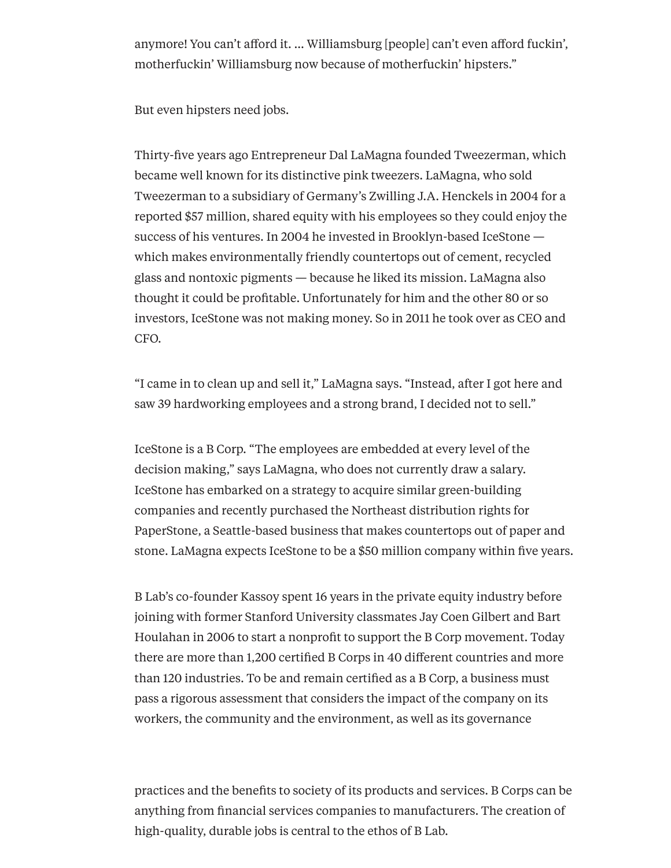anymore! You can't afford it. ... Williamsburg [people] can't even afford fuckin', motherfuckin' Williamsburg now because of motherfuckin' hipsters."

But even hipsters need jobs.

Thirty-five years ago Entrepreneur Dal LaMagna founded Tweezerman, which became well known for its distinctive pink tweezers. LaMagna, who sold Tweezerman to a subsidiary of Germany's Zwilling J.A. Henckels in 2004 for a reported \$57 million, shared equity with his employees so they could enjoy the success of his ventures. In 2004 he invested in Brooklyn-based IceStone which makes environmentally friendly countertops out of cement, recycled glass and nontoxic pigments — because he liked its mission. LaMagna also thought it could be profitable. Unfortunately for him and the other 80 or so investors, IceStone was not making money. So in 2011 he took over as CEO and CFO.

"I came in to clean up and sell it," LaMagna says. "Instead, after I got here and saw 39 hardworking employees and a strong brand, I decided not to sell."

IceStone is a B Corp. "The employees are embedded at every level of the decision making," says LaMagna, who does not currently draw a salary. IceStone has embarked on a strategy to acquire similar green-building companies and recently purchased the Northeast distribution rights for PaperStone, a Seattle-based business that makes countertops out of paper and stone. LaMagna expects IceStone to be a \$50 million company within five years.

B Lab's co-founder Kassoy spent 16 years in the private equity industry before joining with former Stanford University classmates Jay Coen Gilbert and Bart Houlahan in 2006 to start a nonprofit to support the B Corp movement. Today there are more than 1,200 certified B Corps in 40 different countries and more than 120 industries. To be and remain certified as a B Corp, a business must pass a rigorous assessment that considers the impact of the company on its workers, the community and the environment, as well as its governance

practices and the benefits to society of its products and services. B Corps can be anything from financial services companies to manufacturers. The creation of high-quality, durable jobs is central to the ethos of B Lab.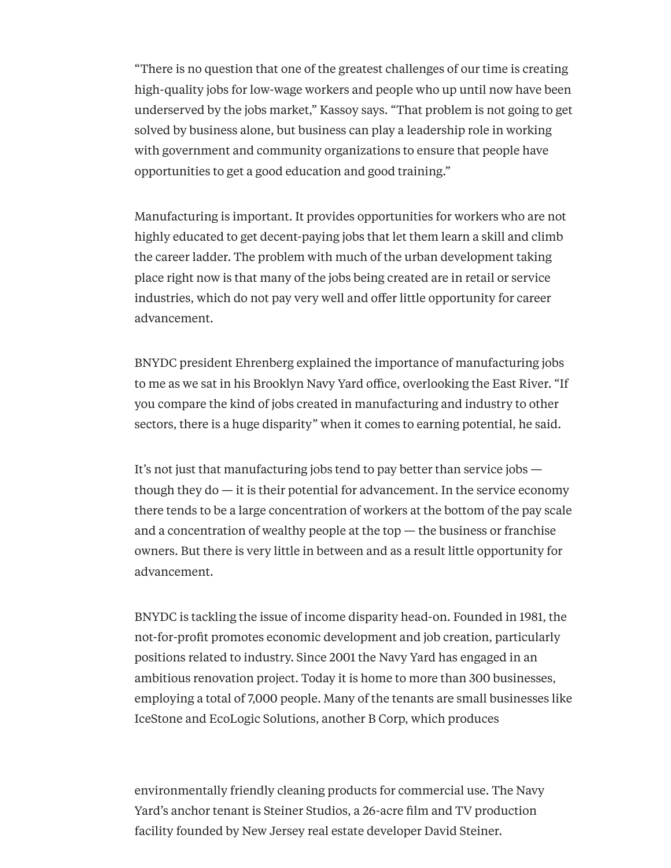"There is no question that one of the greatest challenges of our time is creating high-quality jobs for low-wage workers and people who up until now have been underserved by the jobs market," Kassoy says. "That problem is not going to get solved by business alone, but business can play a leadership role in working with government and community organizations to ensure that people have opportunities to get a good education and good training."

Manufacturing is important. It provides opportunities for workers who are not highly educated to get decent-paying jobs that let them learn a skill and climb the career ladder. The problem with much of the urban development taking place right now is that many of the jobs being created are in retail or service industries, which do not pay very well and offer little opportunity for career advancement.

BNYDC president Ehrenberg explained the importance of manufacturing jobs to me as we sat in his Brooklyn Navy Yard office, overlooking the East River. "If you compare the kind of jobs created in manufacturing and industry to other sectors, there is a huge disparity" when it comes to earning potential, he said.

It's not just that manufacturing jobs tend to pay better than service jobs though they do — it is their potential for advancement. In the service economy there tends to be a large concentration of workers at the bottom of the pay scale and a concentration of wealthy people at the top  $-$  the business or franchise owners. But there is very little in between and as a result little opportunity for advancement.

BNYDC is tackling the issue of income disparity head-on. Founded in 1981, the not-for-profit promotes economic development and job creation, particularly positions related to industry. Since 2001 the Navy Yard has engaged in an ambitious renovation project. Today it is home to more than 300 businesses, employing a total of 7,000 people. Many of the tenants are small businesses like IceStone and EcoLogic Solutions, another B Corp, which produces

environmentally friendly cleaning products for commercial use. The Navy Yard's anchor tenant is Steiner Studios, a 26-acre film and TV production facility founded by New Jersey real estate developer David Steiner.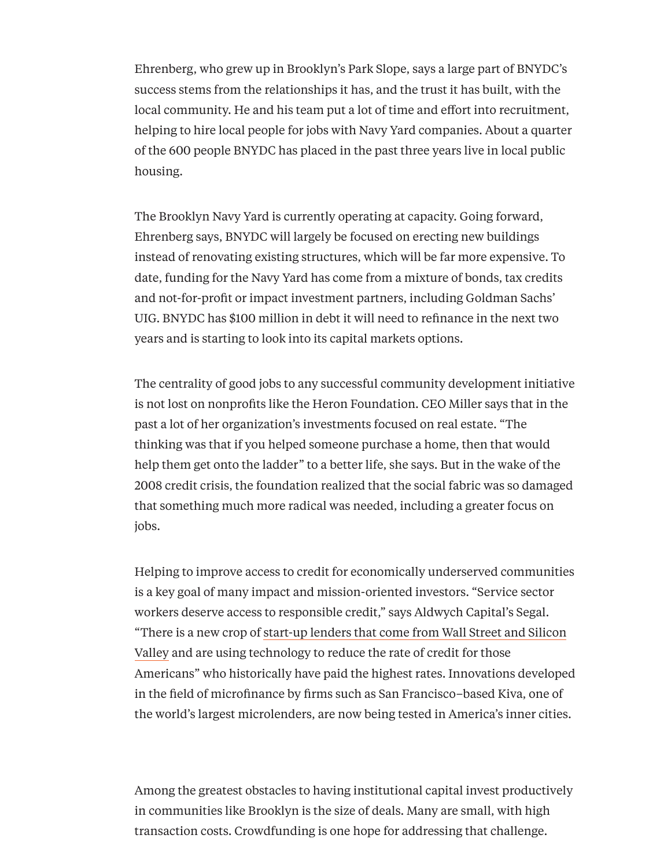Ehrenberg, who grew up in Brooklyn's Park Slope, says a large part of BNYDC's success stems from the relationships it has, and the trust it has built, with the local community. He and his team put a lot of time and effort into recruitment, helping to hire local people for jobs with Navy Yard companies. About a quarter of the 600 people BNYDC has placed in the past three years live in local public housing.

The Brooklyn Navy Yard is currently operating at capacity. Going forward, Ehrenberg says, BNYDC will largely be focused on erecting new buildings instead of renovating existing structures, which will be far more expensive. To date, funding for the Navy Yard has come from a mixture of bonds, tax credits and not-for-profit or impact investment partners, including Goldman Sachs' UIG. BNYDC has \$100 million in debt it will need to refinance in the next two years and is starting to look into its capital markets options.

The centrality of good jobs to any successful community development initiative is not lost on nonprofits like the Heron Foundation. CEO Miller says that in the past a lot of her organization's investments focused on real estate. "The thinking was that if you helped someone purchase a home, then that would help them get onto the ladder" to a better life, she says. But in the wake of the 2008 credit crisis, the foundation realized that the social fabric was so damaged that something much more radical was needed, including a greater focus on jobs.

Helping to improve access to credit for economically underserved communities is a key goal of many impact and mission-oriented investors. "Service sector workers deserve access to responsible credit," says Aldwych Capital's Segal. "There is a new crop of start-up lenders that come from Wall Street and Silicon Valley and are using [technology](http://www.institutionalinvestor.com/article/3432200/banking-and-capital-markets-trading-and-technology/the-start-up-funding-gold-rush-a-new-era-for-vc-or-just-a-fad.html) to reduce the rate of credit for those Americans" who historically have paid the highest rates. Innovations developed in the field of microfinance by firms such as San Francisco–based Kiva, one of the world's largest microlenders, are now being tested in America's inner cities.

Among the greatest obstacles to having institutional capital invest productively in communities like Brooklyn is the size of deals. Many are small, with high transaction costs. [Crowdfunding](http://www.institutionalinvestor.com/article/3411814/banking-and-capital-markets-corporations/golden-era-of-equity-crowdfunding-takes-shapeslowly.html) is one hope for addressing that challenge.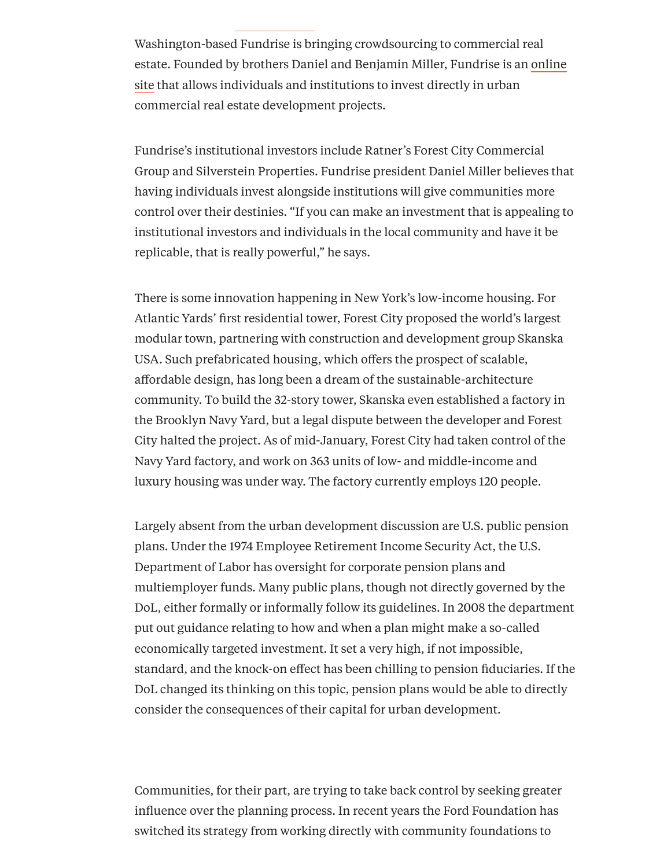Washington-based Fundrise is bringing crowdsourcing to commercial real estate. Founded by brothers Daniel and Benjamin Miller, Fundrise is an online site that allows individuals and [institutions](https://fundrise.com/) to invest directly in urban commercial real estate development projects.

Fundrise's institutional investors include Ratner's Forest City Commercial Group and Silverstein Properties. Fundrise president Daniel Miller believes that having individuals invest alongside institutions will give communities more control over their destinies. "If you can make an investment that is appealing to institutional investors and individuals in the local community and have it be replicable, that is really powerful," he says.

There is some innovation happening in New York's low-income housing. For Atlantic Yards' first residential tower, Forest City proposed the world's largest modular town, partnering with construction and development group Skanska USA. Such prefabricated housing, which offers the prospect of scalable, affordable design, has long been a dream of the sustainable-architecture community. To build the 32-story tower, Skanska even established a factory in the Brooklyn Navy Yard, but a legal dispute between the developer and Forest City halted the project. As of mid-January, Forest City had taken control of the Navy Yard factory, and work on 363 units of low- and middle-income and luxury housing was under way. The factory currently employs 120 people.

Largely absent from the urban development discussion are U.S. public pension plans. Under the 1974 Employee Retirement Income Security Act, the U.S. Department of Labor has oversight for corporate pension plans and multiemployer funds. Many public plans, though not directly governed by the DoL, either formally or informally follow its guidelines. In 2008 the department put out guidance relating to how and when a plan might make a so-called economically targeted investment. It set a very high, if not impossible, standard, and the knock-on effect has been chilling to pension fiduciaries. If the DoL changed its thinking on this topic, pension plans would be able to directly consider the consequences of their capital for urban development.

Communities, for their part, are trying to take back control by seeking greater influence over the planning process. In recent years the Ford Foundation has switched its strategy from working directly with community foundations to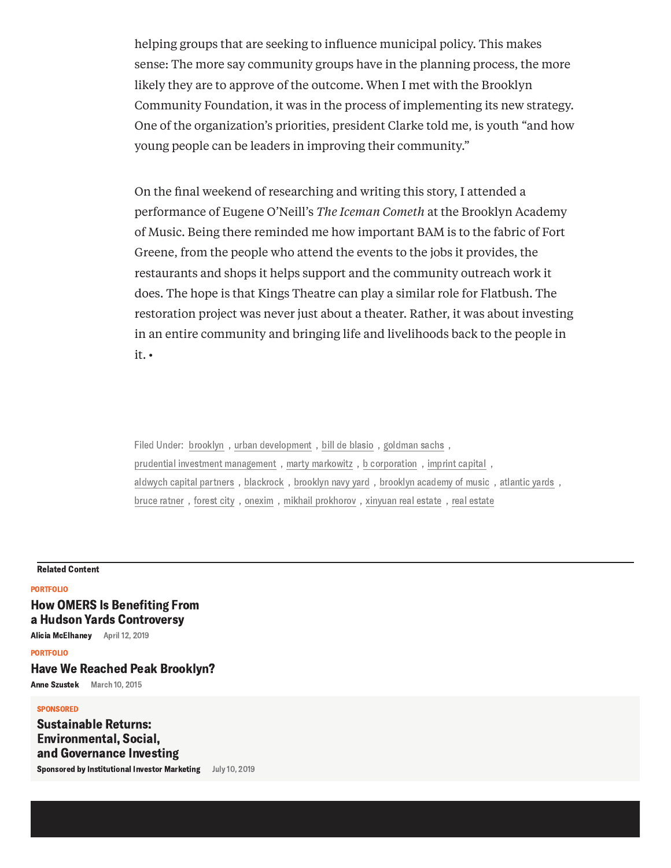helping groups that are seeking to influence municipal policy. This makes sense: The more say community groups have in the planning process, the more likely they are to approve of the outcome. When I met with the Brooklyn Community Foundation, it was in the process of implementing its new strategy. One of the organization's priorities, president Clarke told me, is youth "and how young people can be leaders in improving their community."

On the final weekend of researching and writing this story, I attended a performance of Eugene O'Neill's *The Iceman Cometh* at the Brooklyn Academy of Music. Being there reminded me how important BAM is to the fabric of Fort Greene, from the people who attend the events to the jobs it provides, the restaurants and shops it helps support and the community outreach work it does. The hope is that Kings Theatre can play a similar role for Flatbush. The restoration project was never just about a theater. Rather, it was about investing in an entire community and bringing life and livelihoods back to the people in it. •

Filed Under: [brooklyn](https://www.institutionalinvestor.com/topic?term=brooklyn) , urban [development](https://www.institutionalinvestor.com/topic?term=urban+development) , bill de [blasio](https://www.institutionalinvestor.com/topic?term=bill+de+blasio) , [goldman](https://www.institutionalinvestor.com/topic?term=goldman+sachs) sachs , prudential investment [management](https://www.institutionalinvestor.com/topic?term=prudential+investment+management) , marty [markowitz](https://www.institutionalinvestor.com/topic?term=marty+markowitz) , b [corporation](https://www.institutionalinvestor.com/topic?term=b+corporation) , [imprint](https://www.institutionalinvestor.com/topic?term=imprint+capital) capital , aldwych capital [partners](https://www.institutionalinvestor.com/topic?term=aldwych+capital+partners) , [blackrock](https://www.institutionalinvestor.com/topic?term=blackrock) , [brooklyn](https://www.institutionalinvestor.com/topic?term=brooklyn+navy+yard) navy yard , brooklyn [academy](https://www.institutionalinvestor.com/topic?term=brooklyn+academy+of+music) of music , [atlantic](https://www.institutionalinvestor.com/topic?term=atlantic+yards) yards , bruce [ratner](https://www.institutionalinvestor.com/topic?term=bruce+ratner) , [forest](https://www.institutionalinvestor.com/topic?term=forest+city) city , [onexim](https://www.institutionalinvestor.com/topic?term=onexim) , mikhail [prokhorov](https://www.institutionalinvestor.com/topic?term=mikhail+prokhorov) , [xinyuan](https://www.institutionalinvestor.com/topic?term=xinyuan+real+estate) real estate , real [estate](https://www.institutionalinvestor.com/topic?term=real+estate)

#### Related Content

### [PORTFOLIO](https://www.institutionalinvestor.com/portfolio)

## How OMERS Is [Benefiting](https://www.institutionalinvestor.com/article/b1dyk2sqgbp7h0/How-OMERS-Is-Benefiting-From-a-Hudson-Yards-Controversy) From a Hudson Yards Controversy

Alicia [McElhaney](https://www.institutionalinvestor.com/topic?author=Alicia+McElhaney) April 12, 2019

[PORTFOLIO](https://www.institutionalinvestor.com/portfolio)

## Have We Reached Peak [Brooklyn?](https://www.institutionalinvestor.com/article/b14z9tzbgp0r7l/have-we-reached-peak-brooklyn)

Anne [Szustek](https://www.institutionalinvestor.com/topic?author=Anne+Szustek) March 10, 2015

#### **SPONSORED**

Sustainable Returns: [Environmental,](https://www.institutionalinvestor.com/article/b1bjd8q4xf6ngz/sustainable-returns-environmental-social-and-governance-investing) Social, and Governance Investing

Sponsored by [Institutional](https://www.institutionalinvestor.com/topic?author=Institutional+Investor+Marketing) Investor Marketing July 10, 2019